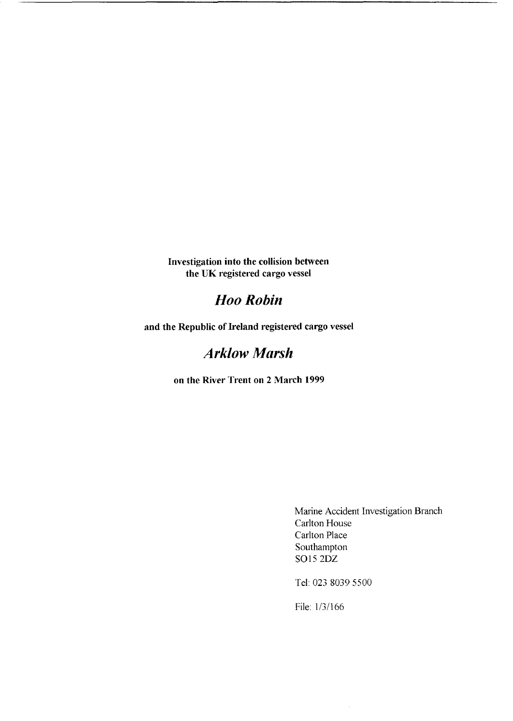**Investigation into the collision between the UK registered cargo vessel** 

# *Hoo Robin*

**and the Republic of Ireland registered cargo vessel** 

# *Arklow Marsh*

**on the River Trent on 2 March 1999** 

Marine Accident Investigation Branch Carlton House Carlton Place Southampton SO15 2DZ

Tel: 023 8039 5500

File: 1/3/166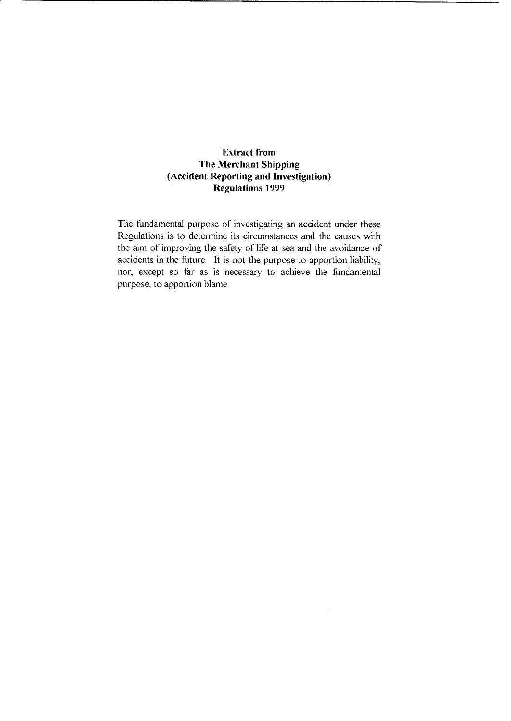#### **Extract from The Merchant Shipping (Accident Reporting and Investigation) Regulations 1999**

The fundamental purpose of investigating an accident under these Regulations is to determine its circumstances and the causes with the aim of improving the safety of life at sea and the avoidance of accidents in the future. It is not the purpose to apportion liability, nor, except so far as is necessary to achieve the fundamental purpose, to apportion blame.

 $\sim$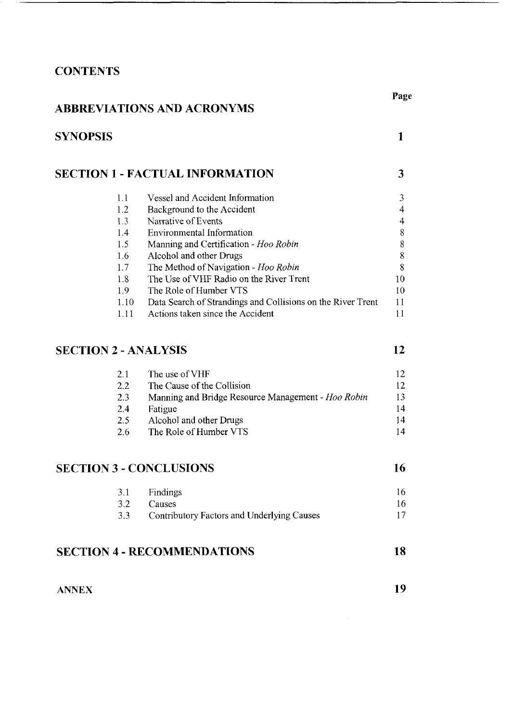# **CONTENTS**

## **ABBREVIATIONS AND ACRONYMS**

| <b>SYNOPSIS</b> |                                                             |    |
|-----------------|-------------------------------------------------------------|----|
|                 | <b>SECTION 1 - FACTUAL INFORMATION</b>                      | 3  |
| 1.1             | <b>Vessel and Accident Information</b>                      | 3  |
| 1.2             | Background to the Accident                                  | 4  |
| 1.3             | Narrative of Events                                         | 4  |
| 1.4             | Environmental Information                                   | 8  |
| 1.5             | Manning and Certification - Hoo Robin                       | 8  |
| 1.6             | Alcohol and other Drugs                                     | 8  |
| 1.7             | The Method of Navigation - Hoo Robin                        | 8  |
| 1.8             | The Use of VHF Radio on the River Trent                     | 10 |
| 1.9             | The Role of Humber VTS                                      | 10 |
| 1.10            | Data Search of Strandings and Collisions on the River Trent | 11 |
| 1.11            | Actions taken since the Accident                            |    |

# **[SECTION 2](#page-16-0)** - **ANALYSIS**

| 21  | The use of VHF                                     | 12 |
|-----|----------------------------------------------------|----|
| 2.2 | The Cause of the Collision                         | 12 |
| 2.3 | Manning and Bridge Resource Management - Hoo Robin | 13 |
| 2.4 | Fatigue                                            | 14 |
| 2.5 | Alcohol and other Drugs                            | 14 |
| 2.6 | The Role of Humber VTS                             | 14 |

# **SECTION 3** - **[CONCLUSIONS](#page-20-0)**

| 3.1 Findings                                   |  |
|------------------------------------------------|--|
| 3.2 Causes                                     |  |
| 3.3 Contributory Factors and Underlying Causes |  |

# **SECTION 4** - **[RECOMMENDATIONS](#page-22-0)**

| <b>ANNEX</b> |  |
|--------------|--|
|--------------|--|

**19** 

**18** 

**12** 

**16**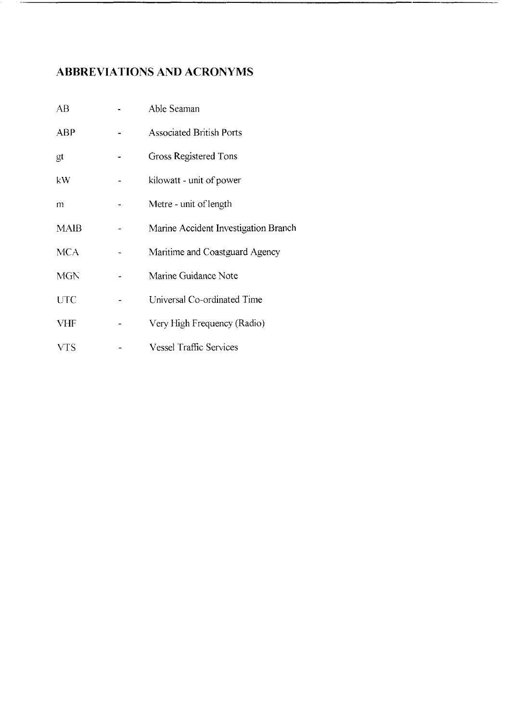# <span id="page-3-0"></span>**ABBREVIATIONS AND ACRONYMS**

| AB          | Able Seaman                          |
|-------------|--------------------------------------|
| <b>ABP</b>  | <b>Associated British Ports</b>      |
| gt          | Gross Registered Tons                |
| kW          | kilowatt - unit of power             |
| m           | Metre - unit of length               |
| <b>MAIB</b> | Marine Accident Investigation Branch |
| <b>MCA</b>  | Maritime and Coastguard Agency       |
| <b>MGN</b>  | Marine Guidance Note                 |
| <b>UTC</b>  | Universal Co-ordinated Time          |
| <b>VHF</b>  | Very High Frequency (Radio)          |
| VTS         | <b>Vessel Traffic Services</b>       |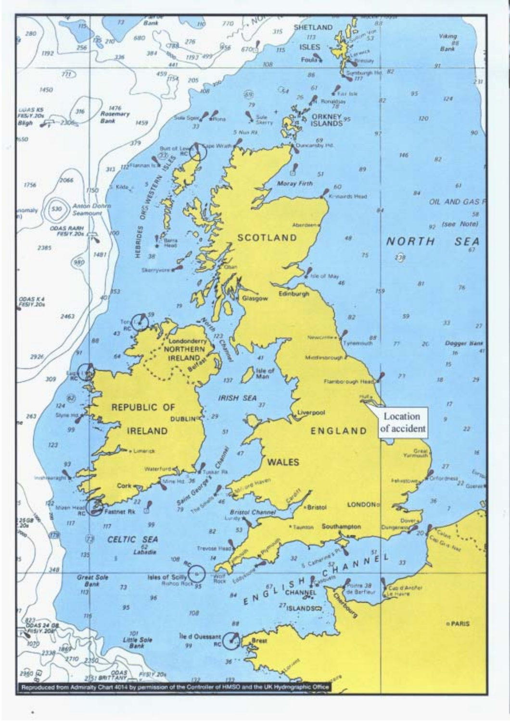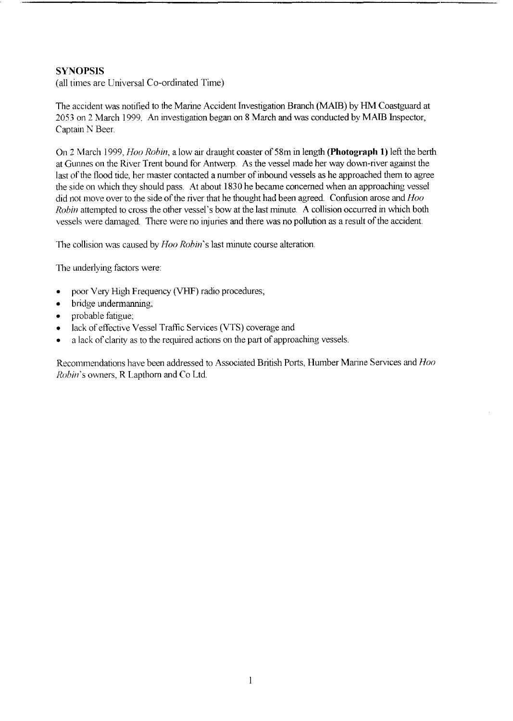### **SYNOPSlS**

(all times are Universal Co-ordinated Time)

The accident was notified to the Marine Accident Investigation Branch (MAIB) by HM Coastguard at 2053 on 2 March 1999 An Investigation began on 8 March and was conducted by MAIB Inspector, Captain **N** Beer

On 2 March 1999, *Hoo Robin,* a low air draught coaster of 58m in length **(Photograph 1)** left the berth at Gunnes on the River Trent bound for Antwerp. As the vessel made her way down-river against the last of the flood tide, her master contacted a number of inbound vessels as he approached them to agree the side on which they should pass. At about 1830 he became concerned when an approaching vessel did not move over to the side of the river that he thought had been agreed. Confusion arose and *Hoo Robin* attempted to cross the other vessel's bow at the last minute. A collision occurred in which both vessels were damaged. There were no injuries and there was no pollution as a result of the accident.

The collision was caused by *Hoo Robin's* last minute course alteration.

The underlying factors were:

- poor Very High Frequency (VHF) radio procedures,  $\bullet$
- bridge undermanning;
- probable fatigue;
- lack of effective Vessel Traffic Services (VTS) coverage and  $\bullet$
- a lack of clarity as to the required actions on the part of approaching vessels

Recommendations have been addressed to Associated British Ports, Humber Marine Services and *Hoo Robin's* owners, R Lapthorn and Co Ltd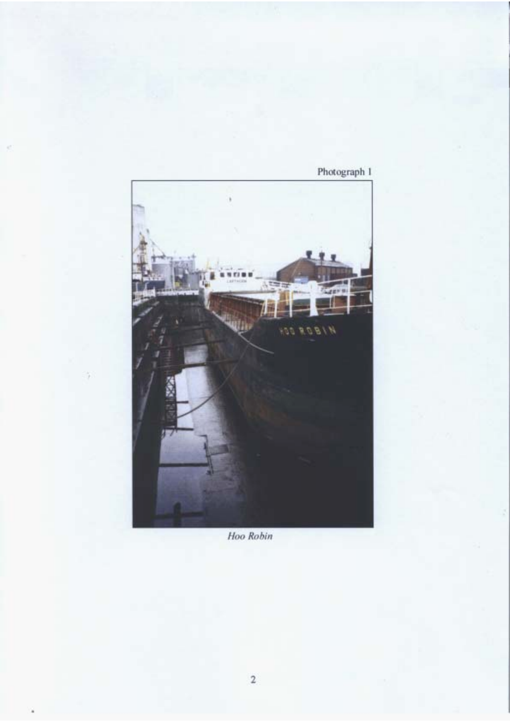

Photograph 1

Hoo Robin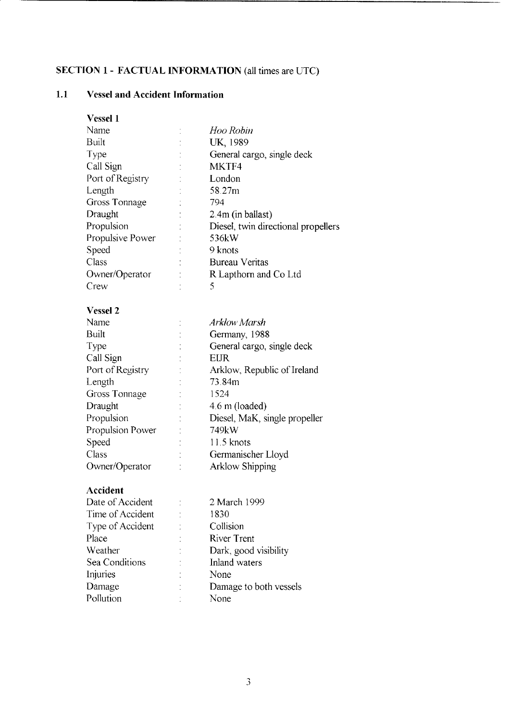# <span id="page-7-0"></span>**SECTION 1** - **FACTUAL INFORMATION** (all times are UTC)

# **1.1 Vessel and Accident Information**

| <b>Vessel 1</b>  |                                     |
|------------------|-------------------------------------|
| Name             | Hoo Robin                           |
| <b>Built</b>     | UK, 1989                            |
| Type             | General cargo, single deck          |
| Call Sign        | MKTF4                               |
| Port of Registry | London                              |
| Length           | 58.27m                              |
| Gross Tonnage    | 794                                 |
| Draught          | 2.4m (in ballast)                   |
| Propulsion       | Diesel, twin directional propellers |
| Propulsive Power | 536kW                               |
| Speed            | 9 knots                             |
| Class            | <b>Bureau Veritas</b>               |
| Owner/Operator   | R Lapthorn and Co Ltd               |
| Crew             | 5                                   |
|                  |                                     |
| <b>Vessel 2</b>  |                                     |
| Name             | Arklow Marsh                        |
| Built            | Germany, 1988                       |
| Type             | General cargo, single deck          |
| Call Sign        | EUR                                 |
| Port of Registry | Arklow, Republic of Ireland         |
| Length           | 73.84m                              |
| Gross Tonnage    | 1524                                |
| Draught          | 4.6 m (loaded)                      |
| Propulsion       | Diesel, MaK, single propeller       |
| Propulsion Power | 749kW                               |
| Speed            | 11.5 knots                          |
| Class            | Germanischer Lloyd                  |
| Owner/Operator   | <b>Arklow Shipping</b>              |
|                  |                                     |
| Accident         |                                     |
| Date of Accident | 2 March 1999                        |
| Time of Accident | 1830                                |
| Type of Accident | Collision                           |
| Place            | <b>River Trent</b>                  |
| Weather          | Dark, good visibility               |
| Sea Conditions   | Inland waters                       |
| Injuries         | None                                |
| Damage           | Damage to both vessels              |
| Pollution        | None                                |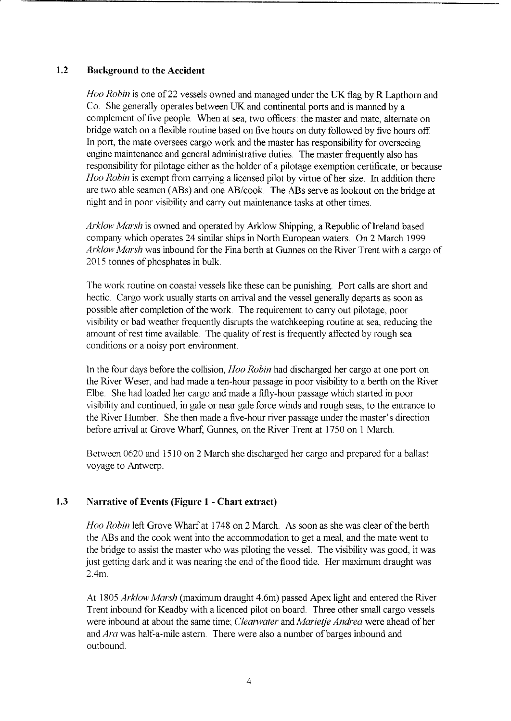#### <span id="page-8-0"></span>**1.2** Background to the Accident

*Hoo Robin* is one of 22 vessels owned and managed under the UK flag by R Lapthorn and Co She generally operates between UK and continental ports and is manned by a complement of five people. When at sea, two officers: the master and mate, alternate on bridge watch on a flexible routine based on five hours on duty followed by five hours off In port, the mate oversees cargo work and the master has responsibility for overseeing engine maintenance and general administrative duties. The master frequently also has responsibility for pilotage either as the holder of a pilotage exemption certificate, or because *Hoo Robin* is exempt from carrying a licensed pilot by virtue of her size. In addition there are two able seamen **(ABs)** and one AB/cook The ABs serve as lookout on the bridge at night and in poor visibility and carry out maintenance tasks at other times

*Arklow Marsh* is owned and operated by Arklow Shipping, a Republic of Ireland based company which operates 24 similar ships in North European waters. On 2 March 1999 *Arklow Marsh* was inbound for the Fina berth at Gunnes on the River Trent with a cargo of 2015 tonnes of phosphates in bulk

The work routine on coastal vessels like these can be punishing. Port calls are short and hectic. Cargo work usually starts on arrival and the vessel generally departs as soon as possible after completion of the work. The requirement to carry out pilotage, poor visibility or bad weather frequently disrupts the watchkeeping routine at sea, reducing the amount of rest time available. The quality of rest is frequently affected by rough sea conditions or a noisy port environment.

In the four days before the collision, *Hoo Robin* had discharged her cargo at one port on the River Weser, and had made a ten-hour passage in poor visibility to a berth on the River Elbe. She had loaded her cargo and made a fifty-hour passage which started in poor visibility and continued, in gale or near gale force winds and rough seas, to the entrance to the River Humber. She then made a five-hour river passage under the master's direction before arrival at Grove Wharf, Gunnes, on the River Trent at 1750 on 1 March.

Between 0620 and 15 10 on 2 March she discharged her cargo and prepared for a ballast voyage to Antwerp.

#### **1.3** Narrative **of** Events (Figure **1** - Chart extract)

*Hoo Robin* left Grove Wharf at 1748 on 2 March. As soon as she was clear of the berth the ABs and the cook went into the accommodation to get a meal, and the mate went to the bridge to assist the master who was piloting the vessel. The visibility was good, it was just getting dark and it was nearing the end of the flood tide. Her maximum draught was 2.4m.

At 1805 *Arklow Marsh* (maximum draught 4.6m) passed Apex light and entered the River Trent inbound for Keadby with a licenced pilot on board. Three other small cargo vessels were inbound at about the same time; *Clearwater* and *Marietje Andrea* were ahead of her and *Ara* was half-a-mile astern. There were also a number of barges inbound and outbound.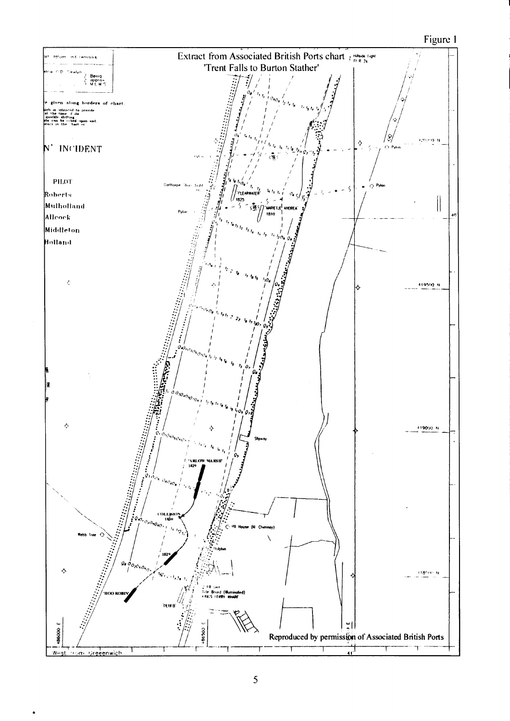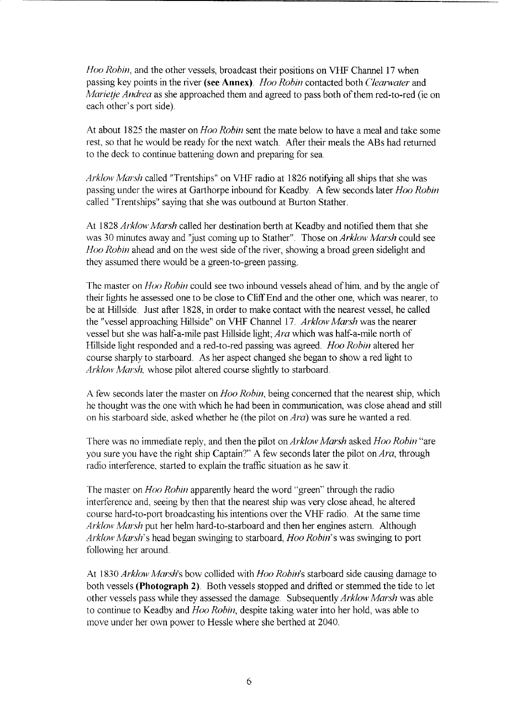*Hoo Robin,* and the other vessels, broadcast their positions on VHF Channel 17 when passing key points in the river **(see Annex)** *Hoo Robin* contacted both *Clearwater* and *Marietje Andrea* as she approached them and agreed to pass both of them red-to-red (ie on each other's port side)

At about 1825 the master on *Hoo Robin* sent the mate below to have a meal and take some rest, so that he would be ready for the next watch. After their meals the ABs had returned to the deck to continue battening down and preparing for sea.

*Arklow Marsh* called "Trentships" on VHF radio at 1826 notifying all ships that she was passing under the wires at Garthorpe inbound for Keadby **A** few seconds later *Hoo Robin*  called "Trentships" saying that she was outbound at Burton Stather

At 1828 *Arklow Marsh* called her destination berth at Keadby and notified them that she was 30 minutes away and "just coming up to Stather" Those on *Arklow Marsh* could see *Hoo Robin* ahead and on the west side of the river, showing a broad green sidelight and they assumed there would be a green-to-green passing

The master on *Hoo Robin* could see two inbound vessels ahead of him, and by the angle of their lights he assessed one to be close to Cliff End and the other one, which was nearer, to be at Hillside. Just after 1828, in order to make contact with the nearest vessel, he called the "vessel approaching Hillside" on VHF Channel 17. *Arklow Marsh* was the nearer vessel but she was half-a-mile past Hillside light; *Ara* which was half-a-mile north of Hillside light responded and a red-to-red passing was agreed. *Hoo Robin* altered her course sharply to starboard. As her aspect changed she began to show a red light to *Arklow Marsh,* whose pilot altered course slightly to starboard.

A few seconds later the master on *Hoo Robin,* being concerned that the nearest ship, which he thought was the one with which he had been in communication, was close ahead and still on his starboard side, asked whether he (the pilot on *Ara)* was sure he wanted a red

There was no immediate reply, and then the pilot on *Arklow Marsh* asked *Hoo Robin* "are you sure you have the right ship Captain?" **A** few seconds later the pilot on *Ara,* through radio interference, started to explain the traffic situation as he saw it.

The master on *Hoo Robin* apparently heard the word "green" through the radio interference and, seeing by then that the nearest ship was very close ahead, he altered course hard-to-port broadcasting his intentions over the VHF radio. At the same time *Arklow Marsh* put her helm hard-to-starboard and then her engines astern. Although *Arklow Marsh's* head began swinging to starboard, *Hoo Robin's* was swinging to port following her around

At 1830 *Arklow Marsh's* bow collided with *Hoo Robin* starboard side causing damage to both vessels (Photograph 2). Both vessels stopped and drifted or stemmed the tide to let other vessels pass while they assessed the damage. Subsequently *Arklow Marsh* was able to continue to Keadby and *Hoo Robin,* despite taking water into her hold, was able to move under her own power to Hessle where she berthed at 2040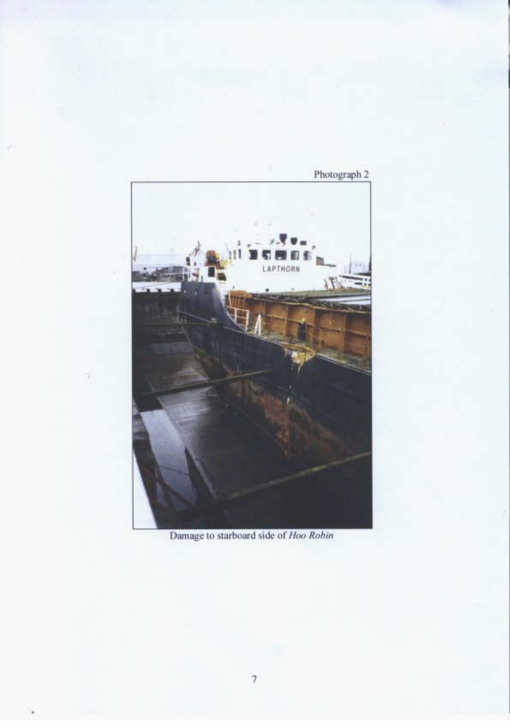

Damage to starboard side of Hoo Robin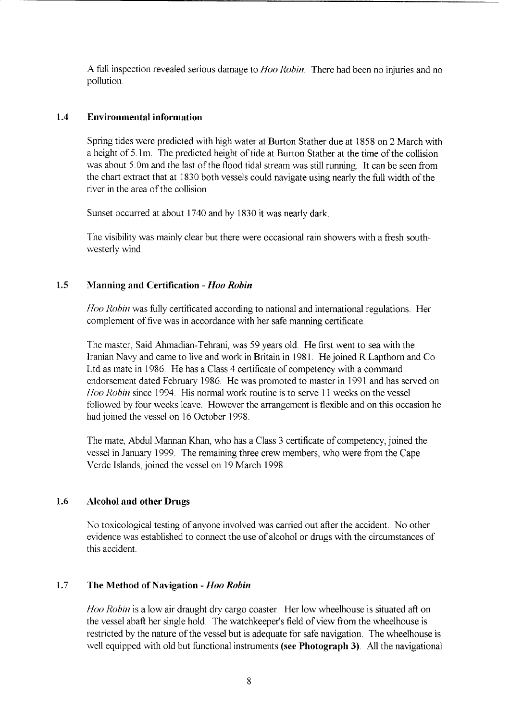<span id="page-12-0"></span>A full inspection revealed serious damage to *Hoo Robin.* There had been no injuries and no pollution.

#### **1.4 Environmental information**

Spring tides were predicted with high water at Burton Stather due at 1858 on 2 March with a height of 5 1m. The predicted height of tide at Burton Stather at the time of the collision was about 5.0m and the last of the flood tidal stream was still running. It can be seen from the chart extract that at 1830 both vessels could navigate using nearly the full width of the river in the area of the collision.

Sunset occurred at about 1740 and by 1830 it was nearly dark

The visibility was mainly clear but there were occasional rain showers with a fresh southwesterly wind.

#### **1.5 Manning arid Certification** - *Hoo Robin*

*Hoo Robin* was fully certificated according to national and international regulations. Her complement of five was in accordance with her safe manning certificate

The master, Said Ahmadian-Tehrani, was 59 years old. He first went to sea with the Iranian Navy and came to live and work in Britain in 1981. He joined R Lapthorn and Co Ltd as mate in 1986. He has a Class 4 certificate of competency with a command endorsement dated February 1986. He was promoted to master in 1991 and has served on *Hoo Robin* since 1994. His normal work routine is to serve 11 weeks on the vessel followed by four weeks leave. However the arrangement is flexible and on this occasion he had joined the vessel on 16 October 1998.

The mate, Abdul Mannan Khan, who has a Class 3 certificate of competency, joined the vessel in January 1999. The remaining three crew members, who were from the Cape Verde Islands, joined the vessel on 19 March 1998

#### **1.6 Alcohol and other Drugs**

No toxicological testing of anyone involved was carried out after the accident. No other evidence was established to connect the use of alcohol or drugs with the circumstances of this accident.

#### **1.7 The Method of Navigation** - *Hoo Robin*

*Hoo Robin* is a low air draught dry cargo coaster. Her low wheelhouse is situated aft on the vessel abaft her single hold. The watchkeeper's field of view from the wheelhouse is restricted by the nature of the vessel but is adequate for safe navigation. The wheelhouse is well equipped with old but functional instruments **(see Photograph 3)** All the navigational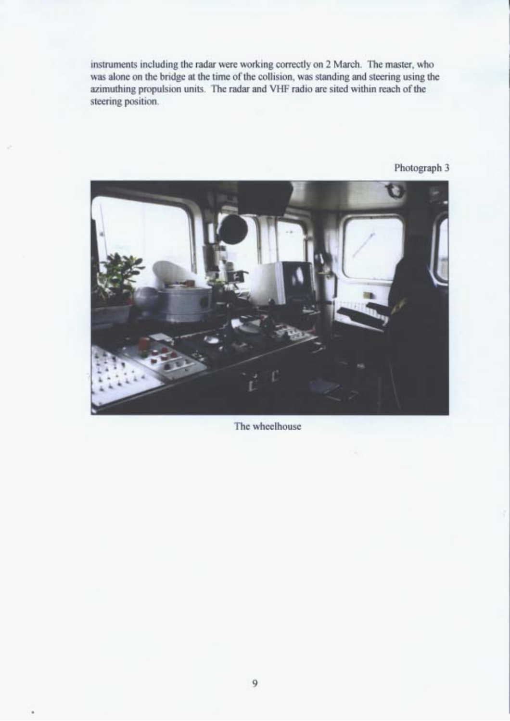instruments including the radar were working correctly on 2 March. The master, who was alone on the bridge at the time of the collision, was standing and steering using the azimuthing propulsion units. The radar and VHF radio are sited within reach of the steering position.



Photograph 3

The wheelhouse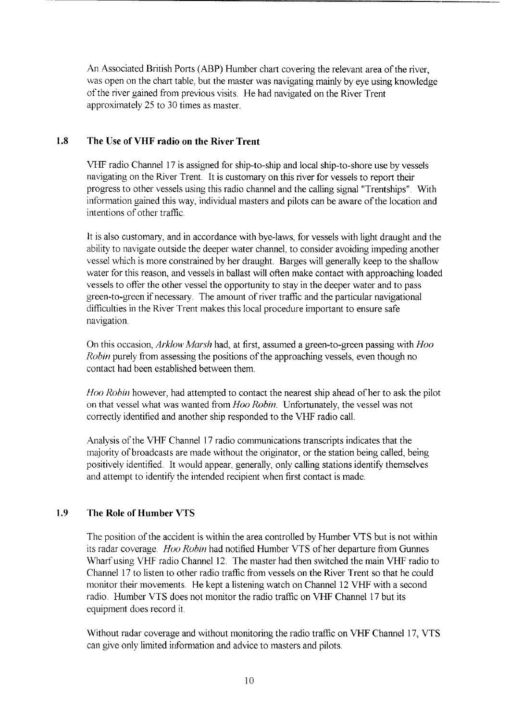<span id="page-14-0"></span>An Associated British Ports (ABP) Humber chart covering the relevant area of the river, was open on the chart table, but the master was navigating mainly by eye using knowledge of the river gained from previous visits. He had navigated on the River Trent approximately 25 to 30 times as master.

### **1.8 The Use of VHF radio on the River Trent**

VHF radio Channel 17 is assigned for ship-to-ship and local ship-to-shore use by vessels navigating on the River Trent. It is customary on this river for vessels to report their progress to other vessels using this radio channel and the calling signal "Trentships". With information gained this way, individual masters and pilots can be aware of the location and intentions of other traffic.

It is also customary, and in accordance with bye-laws, for vessels with light draught and the ability to navigate outside the deeper water channel, to consider avoiding impeding another vessel which is more constrained by her draught. Barges will generally keep to the shallow water for this reason, and vessels in ballast will often make contact with approaching loaded vessels to offer the other vessel the opportunity to stay in the deeper water and to pass green-to-green if necessary. The amount of river traffic and the particular navigational difficulties in the River Trent makes this local procedure important to ensure safe navigation.

On this occasion, *Arklow Marsh* had, at first, assumed a green-to-green passing with *Hoo Robin* purely from assessing the positions of the approaching vessels, even though no contact had been established between them.

*Hoo* Robin however, had attempted to contact the nearest ship ahead of her to ask the pilot on that vessel what was wanted from *Hoo Robin.* Unfortunately, the vessel was not correctly identified and another ship responded to the VHF radio call.

Analysis of the VHF Channel 17 radio communications transcripts indicates that the majority of broadcasts are made without the originator, or the station being called, being positively identified. It would appear, generally, only calling stations identify themselves and attempt to identify the intended recipient when first contact is made.

#### **1.9 The Role of Humber VTS**

The position of the accident is within the area controlled by Humber VTS but is not within its radar coverage *Hoo Robin* had notified Humber VTS of her departure from Gunnes Wharf using VHF radio Channel 12. The master had then switched the main VHF radio to Channel 17 to listen to other radio traffic from vessels on the River Trent so that he could monitor their movements. He kept a listening watch on Channel 12 VHF with a second radio. Humber VTS does not monitor the radio traffic on VHF Channel 17 but its equipment does record it

Without radar coverage and without monitoring the radio traffic on VHF Channel 17, VTS can give only limited information and advice to masters and pilots.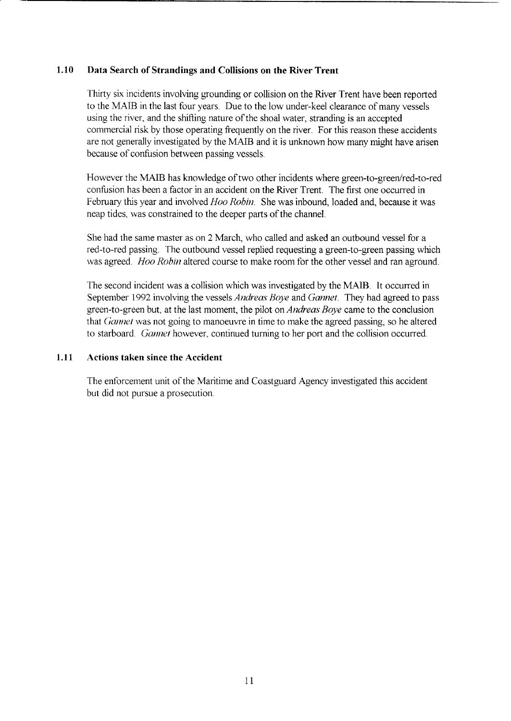#### <span id="page-15-0"></span>**1.10 Data Search of Strandings and Collisions on the River Trent**

Thirty six incidents involving grounding or collision on the River Trent have been reported to the MAIB in the last four years. Due to the low under-keel clearance of many vessels using the river, and the shifting nature of the shoal water, stranding is an accepted commercial risk by those operating frequently on the river. For this reason these accidents are not generally investigated by the **MAIB** and it is unknown how many might have arisen because of confusion between passing vessels.

However the MAIB has knowledge of two other incidents where green-to-green/red-to-red confusion has been a factor in an accident on the River Trent. The first one occurred in February this year and involved *Hoo Robin*. She was inbound, loaded and, because it was neap tides, was constrained to the deeper parts of the channel.

She had the same master as on *2* March, who called and asked an outbound vessel for a red-to-red passing. The outbound vessel replied requesting a green-to-green passing which was agreed. *Hoo Robin* altered course to make room for the other vessel and ran aground.

The second incident was a collision which was investigated by the MAIB. It occurred in September 1992 involving the vessels *Andreas Boye* and *Gannet.* They had agreed to pass green-to-green but, at the last moment, the pilot on *Andreas Boye* came to the conclusion that *Gannet* was not going to manoeuvre in time to make the agreed passing, so he altered to starboard. *Gannet* however, continued turning to her port and the collision occurred.

#### **1.11 Actions taken since the Accident**

The enforcement unit of the Maritime and Coastguard Agency investigated this accident but did not pursue a prosecution.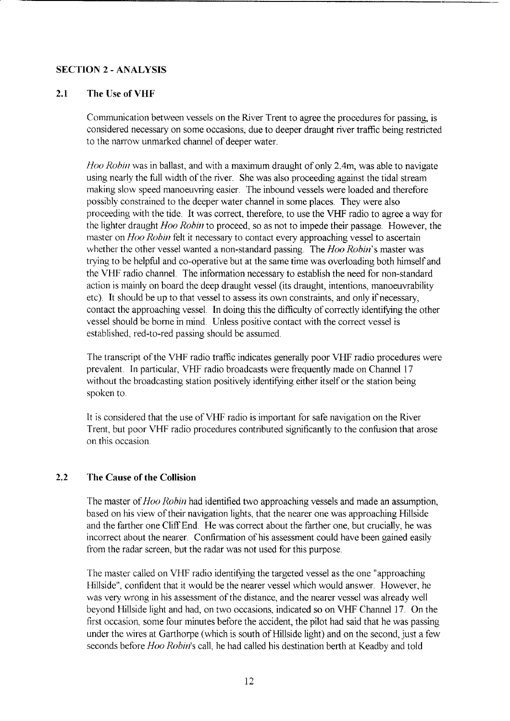#### <span id="page-16-0"></span>**SECTION 2** - **ANALYSIS**

### **2.1 The Use of VHF**

Communication between vessels on the River Trent to agree the procedures for passing, is considered necessary on some occasions, due to deeper draught river traffic being restricted to the narrow unmarked channel of deeper water.

*Hoo Robin* was in ballast, and with a maximum draught of only 2.4m, was able to navigate using nearly the full width of the river. She was also proceeding against the tidal stream making slow speed manoeuvring easier. The inbound vessels were loaded and therefore possibly constrained to the deeper water channel in some places. They were also proceeding with the tide. It was correct, therefore, to use the VHF radio to agree a way for the lighter draught *Hoo Robin* to proceed, *so* as not to impede their passage. However, the master on *Hoo Robin* felt it necessary to contact every approaching vessel to ascertain whether the other vessel wanted a non-standard passing. The *Hoo Robin's* master was trying to be helpful and co-operative but at the same time was overloading both himself and the VHF radio channel. The information necessary to establish the need for non-standard action is mainly on board the deep draught vessel (its draught, intentions, manoeuvrability etc). It should be up to that vessel to assess its own constraints, and only if necessary, contact the approaching vessel. In doing this the difficulty of correctly identifying the other vessel should be borne in mind. Unless positive contact with the correct vessel is established, red-to-red passing should be assumed.

The transcript of the VHF radio traffic indicates generally poor VHF radio procedures were prevalent. In particular, VHF radio broadcasts were frequently made on Channel 17 without the broadcasting station positively identifying either itself or the station being spoken to

It is considered that the use of VHF radio is important for safe navigation on the River Trent, but poor VHF radio procedures contributed significantly to the confusion that arose on this occasion

#### **2.2 The Cause of the Collision**

The master of *Hoo Robin* had identified two approaching vessels and made an assumption, based on his view of their navigation lights, that the nearer one was approaching Hillside and the farther one Cliff End. He was correct about the farther one, but crucially, he was incorrect about the nearer. Confirmation of his assessment could have been gained easily from the radar screen, but the radar was not used for this purpose.

The master called on VHF radio identifying the targeted vessel as the one "approaching Hillside", confident that it would be the nearer vessel which would answer. However, he was very wrong in his assessment of the distance, and the nearer vessel was already well beyond Hillside light and had, on two occasions, indicated so on VHF Channel 17. On the first occasion, some four minutes before the accident, the pilot had said that he was passing under the wires at Garthorpe (which is south of Hillside light) and on the second, just a few seconds before *Hoo Robin's* call, he had called his destination berth at Keadby and told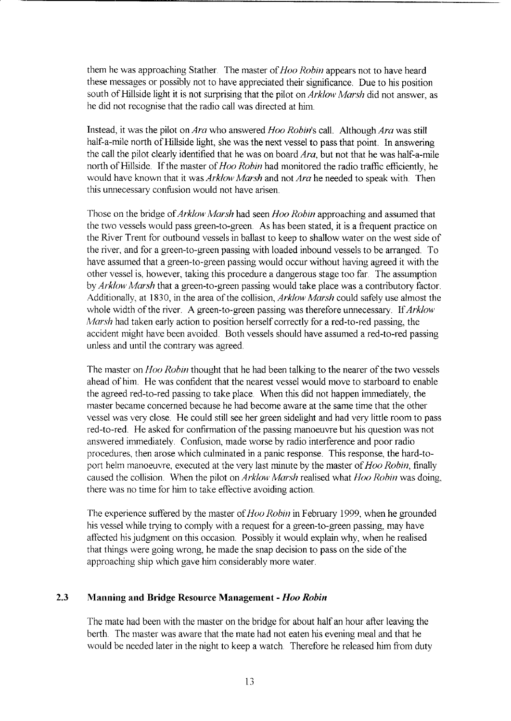<span id="page-17-0"></span>them he was approaching Stather. The master of *Hoo Robin* appears not to have heard these messages or possibly not to have appreciated their significance. Due to his position south of Hillside light it is not surprising that the pilot on Arklow *Marsh* did not answer, as he did not recognise that the radio call was directed at him

Instead, it was the pilot on Ara who answered *Hoo Robin's* call. Although Ara was still half-a-mile north of Hillside light, she was the next vessel to pass that point. In answering the call the pilot clearly identified that he was on board  $Ara$ , but not that he was half-a-mile north of Hillside. If the master of *Hoo Robin* had monitored the radio traffic efficiently, he would have known that it was *Arklow Marsh* and not *Ara* he needed to speak with. Then this unnecessary confusion would not have arisen.

Those on the bridge of Arklow *Marsh* had seen *Hoo Robin* approaching and assumed that the two vessels would pass green-to-green **As** has been stated, it is a frequent practice on the River Trent for outbound vessels in ballast to keep to shallow water on the west side of the river, and for a green-to-green passing with loaded inbound vessels to be arranged. To have assumed that a green-to-green passing would occur without having agreed it with the other vessel is, however, taking this procedure a dangerous stage too far The assumption by Arklow *Marsh* that a green-to-green passing would take place was a contributory factor Additionally, at 1830, in the area of the collision, Arklow *Marsh* could safely use almost the whole width of the river. A green-to-green passing was therefore unnecessary. If Arklow *Marsh* had taken early action to position herself correctly for a red-to-red passing, the accident might have been avoided. Both vessels should have assumed a red-to-red passing unless and until the contrary was agreed

The master on *Hoo Robin* thought that he had been talking to the nearer of the two vessels ahead of him. He was confident that the nearest vessel would move to starboard to enable the agreed red-to-red passing to take place. When this did not happen immediately, the master became concerned because he had become aware at the same time that the other vessel was very close. He could still see her green sidelight and had very little room to pass red-to-red. He asked for confirmation of the passing manoeuvre but his question was not answered immediately. Confusion, made worse by radio interference and poor radio procedures, then arose which culminated in a panic response. This response, the hard-toport helm manoeuvre, executed at the very last minute by the master of Hoo *Robin,* finally caused the collision. When the pilot on Arklow, *Marsh* realised what *Hoo Robin* was doing, there was no time for him to take effective avoiding action.

The experience suffered by the master of *Hoo Robin* in February 1999, when he grounded his vessel while trying to comply with a request for a green-to-green passing, may have affected his judgment on this occasion. Possibly it would explain why, when he realised that things were going wrong, he made the snap decision to pass on the side of the approaching ship which gave him considerably more water.

#### **2.3 Manning and Bridge Resource Management** - *Hoo Robin*

The mate had been with the master on the bridge for about half an hour after leaving the berth. The master was aware that the mate had not eaten his evening meal and that he would be needed later in the night to keep a watch. Therefore he released him from duty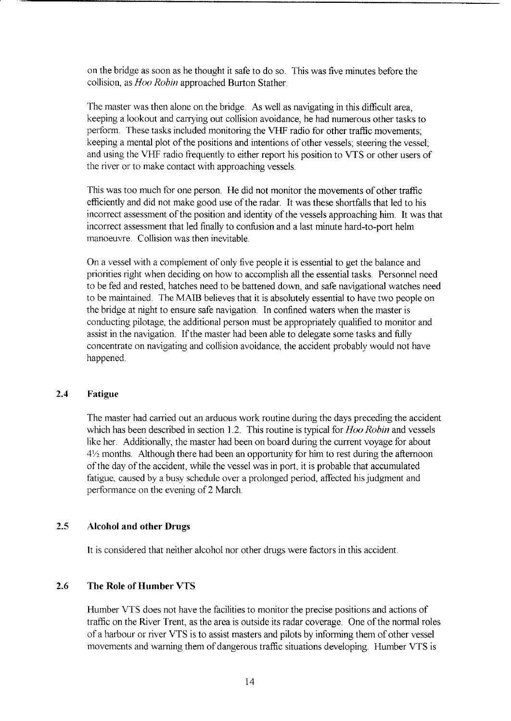<span id="page-18-0"></span>on the bridge as soon as he thought it safe to do so. This was five minutes before the collision, as *Hoo Robin* approached Burton Stather.

The master was then alone on the bridge. **As** well as navigating in this difficult area, keeping a lookout and carrying out collision avoidance, he had numerous other tasks to perform. These tasks included monitoring the VHF radio for other traffic movements; keeping a mental plot of the positions and intentions of other vessels; steering the vessel; and using the VHF radio frequently to either report his position to VTS or other users of the river or to make contact with approaching vessels.

This was too much for one person. He did not monitor the movements of other traffic efficiently and did not make good use of the radar. It was these shortfalls that led to his incorrect assessment of the position and identity of the vessels approaching him. It was that incorrect assessment that led finally to confusion and a last minute hard-to-port helm manoeuvre. Collision was then inevitable.

On a vessel with a complement of only five people it is essential to get the balance and priorities right when deciding on how to accomplish all the essential tasks. Personnel need to be fed and rested, hatches need to be battened down, and safe navigational watches need to be maintained. The MAIB believes that it is absolutely essential to have two people on the bridge at night to ensure safe navigation. In confined waters when the master is conducting pilotage, the additional person must be appropriately qualified to monitor and assist in the navigation. If the master had been able to delegate some tasks and fully concentrate on navigating and collision avoidance, the accident probably would not have happened.

#### **2.4 Fatigue**

The master had carried out an arduous work routine during the days preceding the accident which has been described in section 1.2. This routine is typical for *Hoo Robin* and vessels like her. Additionally, the master had been on board during the current voyage for about  $4\frac{1}{2}$  months. Although there had been an opportunity for him to rest during the afternoon of the day of the accident, while the vessel was in port, it is probable that accumulated fatigue. caused by a busy schedule over a prolonged period, affected his judgment and performance on the evening of 2 March.

#### **2.5 Alcohol and other Drugs**

It is considered that neither alcohol nor other drugs were factors in this accident

#### **2.6 The Role of Humber VTS**

Humber VTS does not have the facilities to monitor the precise positions and actions of traffic on the River Trent, as the area is outside its radar coverage. One of the normal roles of a harbour or river VTS is to assist masters and pilots by informing them of other vessel movements and warning them of dangerous traffic situations developing. Humber VTS is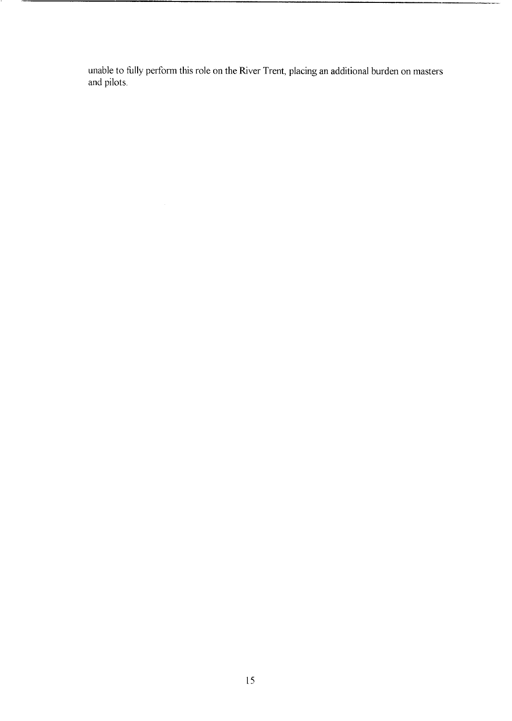unable to fully perform this role on the River Trent, placing an additional burden on masters and pilots.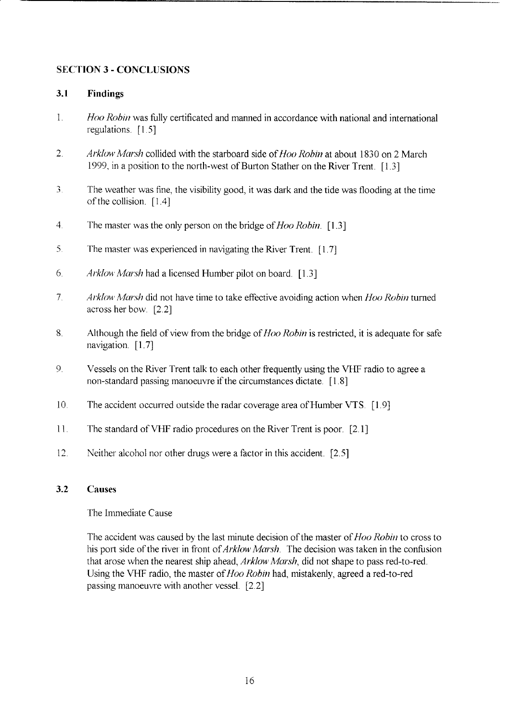### <span id="page-20-0"></span>**SECTION 3** - **CONCLUSIONS**

#### **3.1 Findings**

- 1 *Hoo Robin* was fully certificated and manned in accordance with national and international regulations. [1.5]
- *2 Arklow Marsh* collided with the starboard side of Hoo *Robin* at about 1830 on 2 March 1999, in a position to the north-west of Burton Stather on the River Trent. [1.3]
- *3*  The weather was fine, the visibility good, it was dark and the tide was flooding at the time of the collision. [ 1.4]
- 4 The master was the only person on the bridge of *Hoo Robin.* [ 1.3]
- *5*  The master was experienced in navigating the River Trent. [1.7]
- 6 *Arklow Marsh* had a licensed Humber pilot on board. [1.3]
- 7 *Arklow Marsh* did not have time to take effective avoiding action when *Hoo Robin* turned across her bow *[2* 2]
- **8**  Although the field of view from the bridge of *Hoo Robin* is restricted, it is adequate for safe navigation. [1.7]
- 9 Vessels on the River Trent talk to each other frequently using the VHF radio to agree a non-standard passing manoeuvre if the circumstances dictate. [ 1.8]
- 10 The accident occurred outside the radar coverage area of Humber VTS. [ 1.9]
- 11 The standard of VHF radio procedures on the River Trent is poor. [2 11
- 12 Neither alcohol nor other drugs were a factor in this accident. [2.5]

#### **3.2 Causes**

The Immediate Cause

The accident was caused by the last minute decision of the master of *Hoo Robin* to cross to his port side of the river in front of *Arklow Marsh*. The decision was taken in the confusion that arose when the nearest ship ahead, *Arklow Marsh,* did not shape to pass red-to-red Using the VHF radio, the master of Hoo *Robin* had, mistakenly, agreed a red-to-red passing manoeuvre with another vessel. [2.2]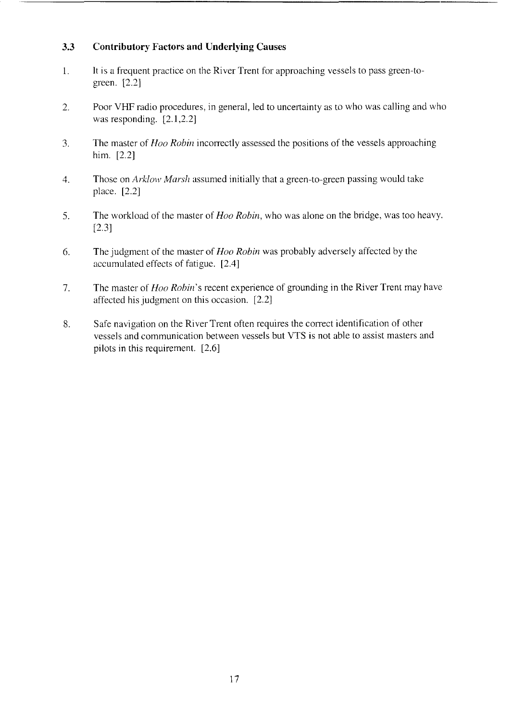#### <span id="page-21-0"></span>*3.3*  **Contributory Factors and Underlying Causes**

- 1. It is a frequent practice on the River Trent for approaching vessels to pass green-to green. *[2.2]*
- *2.*  Poor VHF radio procedures, in general, led to uncertainty as to who was calling and who was responding. [2.1,2.2]
- *3.*  The master of *Hoo Robin* incorrectly assessed the positions of the vessels approaching him. *[2.2]*
- 4. Those on *Arklow Marsh* assumed initially that a green-to-green passing would take place. *[2.2]*
- 5. The workload of the master of *Hoo Robin,* who was alone on the bridge, was too heavy. [2.3]
- *6.*  The judgment of the master of *Hoo Robin* was probably adversely affected by the accumulated effects of fatigue. [2.4]
- *7.*  The master of *Hoo Robin's* recent experience of grounding in the River Trent may have affected his judgment on this occasion. [2.2]
- 8. Safe navigation on the River Trent often requires the correct identification of other vessels and communication between vessels but VTS is not able to assist masters and pilots in this requirement. *[2.6]*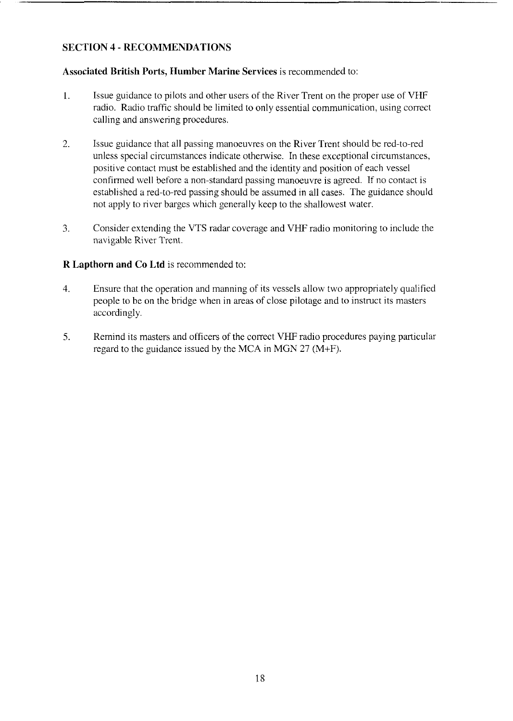### <span id="page-22-0"></span>**SECTION 4** - **RECOMMENDATIONS**

#### **Associated British Ports, Humber Marine Services** is recommended to:

- 1. Issue guidance to pilots and other users of the River Trent on the proper use of VHF radio. Radio traffic should be limited to only essential communication, using correct calling and answering procedures.
- 2. Issue guidance that all passing manoeuvres on the River Trent should be red-to-red. unless special circumstances indicate otherwise. In these exceptional circumstances, positive contact must be established and the identity and position of each vessel confirmed well before a non-standard passing manoeuvre is agreed. If no contact is established a red-to-red passing should be assumed in all cases. The guidance should not apply to river barges which generally keep to the shallowest water.
- 3. Consider extending the VTS radar coverage and VHF radio monitoring to include the navigable River Trent.

#### **R Lapthorn and Co Ltd** is recommended to:

- 4. Ensure that the operation and manning of its vessels allow two appropriately qualified people to be on the bridge when in areas of close pilotage and to instruct its masters accordingly.
- *5.* Remind its masters and officers of the correct VHF radio procedures paying particular regard to the guidance issued by the MCA in MGN 27 (M+F).